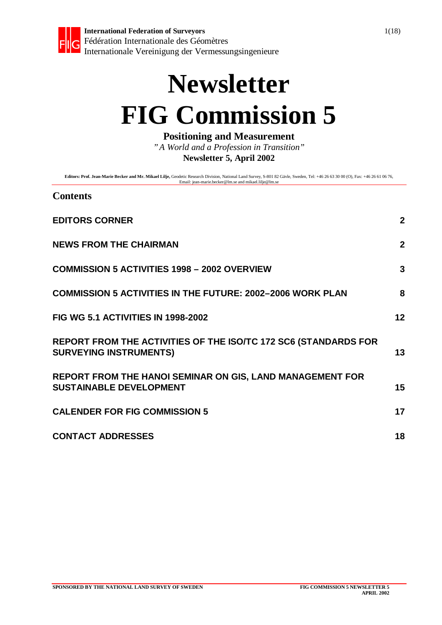

# **Newsletter FIG Commission 5**

**Positioning and Measurement**

*"A World and a Profession in Transition"* **Newsletter 5, April 2002**

**Editors: Prof. Jean-Marie Becker and Mr. Mikael Lilje,** Geodetic Research Division, National Land Survey, S-801 82 Gävle, Sweden, Tel: +46 26 63 30 00 (O), Fax: +46 26 61 06 76,<br>Email: jean-marie.becker@lm.se and mikael.l

#### **Contents**

| <b>EDITORS CORNER</b>                                                                              | $\mathbf{2}$   |
|----------------------------------------------------------------------------------------------------|----------------|
| <b>NEWS FROM THE CHAIRMAN</b>                                                                      | $\overline{2}$ |
| <b>COMMISSION 5 ACTIVITIES 1998 - 2002 OVERVIEW</b>                                                | 3              |
| <b>COMMISSION 5 ACTIVITIES IN THE FUTURE: 2002-2006 WORK PLAN</b>                                  | 8              |
| FIG WG 5.1 ACTIVITIES IN 1998-2002                                                                 | 12             |
| REPORT FROM THE ACTIVITIES OF THE ISO/TC 172 SC6 (STANDARDS FOR<br><b>SURVEYING INSTRUMENTS)</b>   | 13             |
| <b>REPORT FROM THE HANOI SEMINAR ON GIS, LAND MANAGEMENT FOR</b><br><b>SUSTAINABLE DEVELOPMENT</b> | 15             |
| <b>CALENDER FOR FIG COMMISSION 5</b>                                                               | 17             |
| <b>CONTACT ADDRESSES</b>                                                                           | 18             |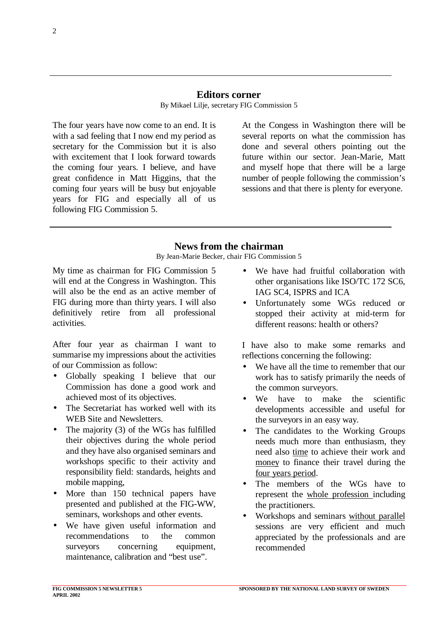#### **Editors corner**

The four years have now come to an end. It is with a sad feeling that I now end my period as secretary for the Commission but it is also with excitement that I look forward towards the coming four years. I believe, and have great confidence in Matt Higgins, that the coming four years will be busy but enjoyable years for FIG and especially all of us following FIG Commission 5.

At the Congess in Washington there will be several reports on what the commission has done and several others pointing out the future within our sector. Jean-Marie, Matt and myself hope that there will be a large number of people following the commission's sessions and that there is plenty for everyone.

#### **News from the chairman**

By Jean-Marie Becker, chair FIG Commission 5

My time as chairman for FIG Commission 5 will end at the Congress in Washington. This will also be the end as an active member of FIG during more than thirty years. I will also definitively retire from all professional activities.

After four year as chairman I want to summarise my impressions about the activities of our Commission as follow:

- Globally speaking I believe that our Commission has done a good work and achieved most of its objectives.
- The Secretariat has worked well with its WEB Site and Newsletters.
- The majority (3) of the WGs has fulfilled their objectives during the whole period and they have also organised seminars and workshops specific to their activity and responsibility field: standards, heights and mobile mapping,
- More than 150 technical papers have presented and published at the FIG-WW, seminars, workshops and other events.
- We have given useful information and recommendations to the common surveyors concerning equipment, maintenance, calibration and "best use".
- We have had fruitful collaboration with other organisations like ISO/TC 172 SC6, IAG SC4, ISPRS and ICA
- Unfortunately some WGs reduced or stopped their activity at mid-term for different reasons: health or others?

I have also to make some remarks and reflections concerning the following:

- We have all the time to remember that our work has to satisfy primarily the needs of the common surveyors.
- We have to make the scientific developments accessible and useful for the surveyors in an easy way.
- The candidates to the Working Groups needs much more than enthusiasm, they need also time to achieve their work and money to finance their travel during the four years period.
- The members of the WGs have to represent the whole profession including the practitioners.
- Workshops and seminars without parallel sessions are very efficient and much appreciated by the professionals and are recommended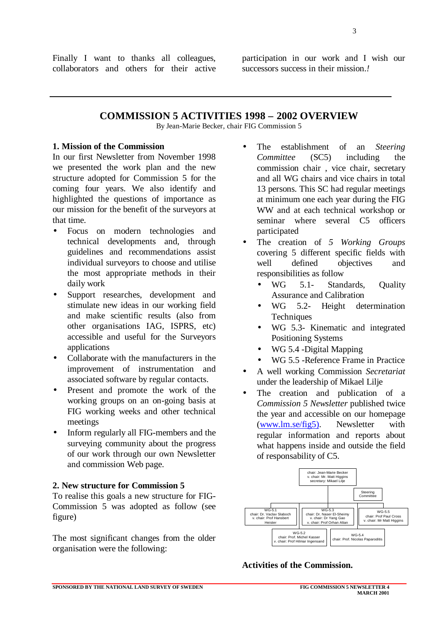Finally I want to thanks all colleagues, collaborators and others for their active participation in our work and I wish our successors success in their mission.*!*

**COMMISSION 5 ACTIVITIES 1998 – 2002 OVERVIEW**

By Jean-Marie Becker, chair FIG Commission 5

#### **1. Mission of the Commission**

In our first Newsletter from November 1998 we presented the work plan and the new structure adopted for Commission 5 for the coming four years. We also identify and highlighted the questions of importance as our mission for the benefit of the surveyors at that time.

- Focus on modern technologies and technical developments and, through guidelines and recommendations assist individual surveyors to choose and utilise the most appropriate methods in their daily work
- Support researches, development and stimulate new ideas in our working field and make scientific results (also from other organisations IAG, ISPRS, etc) accessible and useful for the Surveyors applications
- Collaborate with the manufacturers in the improvement of instrumentation and associated software by regular contacts.
- Present and promote the work of the working groups on an on-going basis at FIG working weeks and other technical meetings
- Inform regularly all FIG-members and the surveying community about the progress of our work through our own Newsletter and commission Web page.

#### **2. New structure for Commission 5**

To realise this goals a new structure for FIG-Commission 5 was adopted as follow (see figure)

The most significant changes from the older organisation were the following:

- The establishment of an *Steering Committee* (SC5) including the commission chair , vice chair, secretary and all WG chairs and vice chairs in total 13 persons. This SC had regular meetings at minimum one each year during the FIG WW and at each technical workshop or seminar where several C5 officers participated
- The creation of *5 Working Groups* covering 5 different specific fields with well defined objectives and responsibilities as follow
	- WG 5.1- Standards, Quality Assurance and Calibration
	- WG 5.2- Height determination **Techniques**
	- WG 5.3- Kinematic and integrated Positioning Systems
	- WG 5.4 -Digital Mapping
	- WG 5.5 -Reference Frame in Practice
- A well working Commission *Secretariat* under the leadership of Mikael Lilje
- The creation and publication of a *Commission 5 Newsletter* published twice the year and accessible on our homepage (www.lm.se/fig5). Newsletter with regular information and reports about what happens inside and outside the field of responsability of C5.



#### **Activities of the Commission.**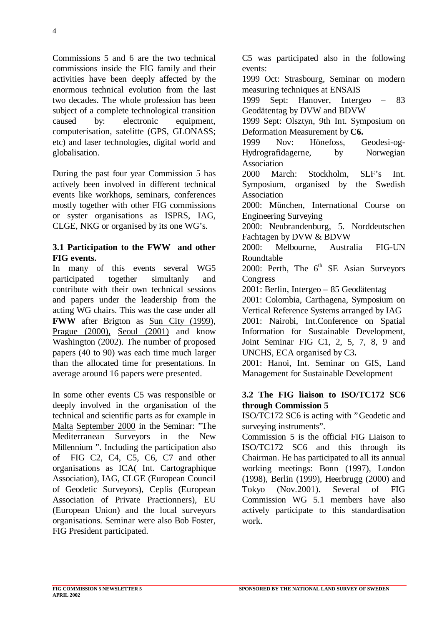Commissions 5 and 6 are the two technical commissions inside the FIG family and their activities have been deeply affected by the enormous technical evolution from the last two decades. The whole profession has been subject of a complete technological transition caused by: electronic equipment, computerisation, satelitte (GPS, GLONASS; etc) and laser technologies, digital world and globalisation.

During the past four year Commission 5 has actively been involved in different technical events like workhops, seminars, conferences mostly together with other FIG commissions or syster organisations as ISPRS, IAG, CLGE, NKG or organised by its one WG's.

#### **3.1 Participation to the FWW and other FIG events.**

In many of this events several WG5 participated together simultanly and contribute with their own technical sessions and papers under the leadership from the acting WG chairs. This was the case under all **FWW** after Brigton as Sun City (1999), Prague (2000), Seoul (2001) and know Washington (2002). The number of proposed papers (40 to 90) was each time much larger than the allocated time for presentations. In average around 16 papers were presented.

In some other events C5 was responsible or deeply involved in the organisation of the technical and scientific parts as for example in Malta September 2000 in the Seminar: "The Mediterranean Surveyors in the New Millennium ". Including the participation also of FIG C2, C4, C5, C6, C7 and other organisations as ICA( Int. Cartographique Association), IAG, CLGE (European Council of Geodetic Surveyors), Ceplis (European Association of Private Practionners), EU (European Union) and the local surveyors organisations. Seminar were also Bob Foster, FIG President participated.

C5 was participated also in the following events: 1999 Oct: Strasbourg, Seminar on modern measuring techniques at ENSAIS 1999 Sept: Hanover, Intergeo – 83 Geodätentag by DVW and BDVW 1999 Sept: Olsztyn, 9th Int. Symposium on Deformation Measurement by **C6.** 1999 Nov: Hönefoss, Geodesi-og-Hydrografidagerne, by Norwegian Association 2000 March: Stockholm, SLF's Int. Symposium, organised by the Swedish **Association** 2000: München, International Course on Engineering Surveying 2000: Neubrandenburg, 5. Norddeutschen Fachtagen by DVW & BDVW 2000: Melbourne, Australia FIG-UN Roundtable 2000: Perth, The  $6<sup>th</sup>$  SE Asian Surveyors Congress 2001: Berlin, Intergeo – 85 Geodätentag 2001: Colombia, Carthagena, Symposium on Vertical Reference Systems arranged by IAG 2001: Nairobi, Int.Conference on Spatial Information for Sustainable Development, Joint Seminar FIG C1, 2, 5, 7, 8, 9 and UNCHS, ECA organised by C3**.** 2001: Hanoi, Int. Seminar on GIS, Land Management for Sustainable Development

#### **3.2 The FIG liaison to ISO/TC172 SC6 through Commission 5**

ISO/TC172 SC6 is acting with "Geodetic and surveying instruments".

Commission 5 is the official FIG Liaison to ISO/TC172 SC6 and this through its Chairman. He has participated to all its annual working meetings: Bonn (1997), London (1998), Berlin (1999), Heerbrugg (2000) and Tokyo (Nov.2001). Several of FIG Commission WG 5.1 members have also actively participate to this standardisation work.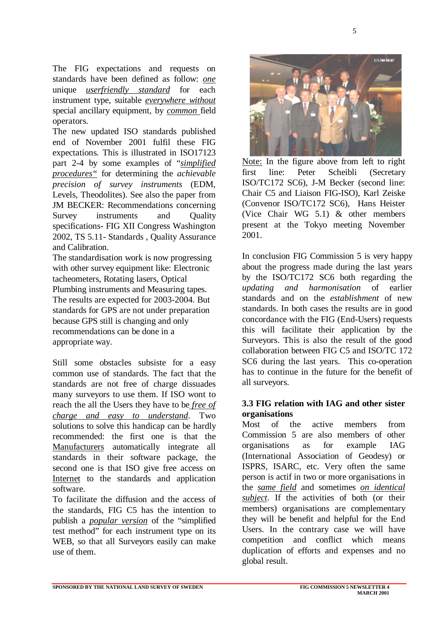The FIG expectations and requests on standards have been defined as follow: *one* unique *userfriendly standard* for each instrument type, suitable *everywhere without* special ancillary equipment*,* by *common* field operators*.*

The new updated ISO standards published end of November 2001 fulfil these FIG expectations*.* This is illustrated in ISO17123 part 2-4 by some examples of "*simplified procedures"* for determining the *achievable precision of survey instruments* (EDM, Levels, Theodolites). See also the paper from JM BECKER: Recommendations concerning Survey instruments and Quality specifications- FIG XII Congress Washington 2002, TS 5.11- Standards , Quality Assurance and Calibration.

The standardisation work is now progressing with other survey equipment like: Electronic tacheometers, Rotating lasers, Optical Plumbing instruments and Measuring tapes. The results are expected for 2003-2004. But standards for GPS are not under preparation because GPS still is changing and only recommendations can be done in a appropriate way.

Still some obstacles subsiste for a easy common use of standards. The fact that the standards are not free of charge dissuades many surveyors to use them. If ISO wont to reach the all the Users they have to be *free of charge and easy to understand*. Two solutions to solve this handicap can be hardly recommended: the first one is that the Manufacturers automatically integrate all standards in their software package, the second one is that ISO give free access on Internet to the standards and application software.

To facilitate the diffusion and the access of the standards, FIG C5 has the intention to publish a *popular version* of the "simplified test method" for each instrument type on its WEB, so that all Surveyors easily can make use of them.



Note: In the figure above from left to right first line: Peter Scheibli (Secretary ISO/TC172 SC6), J-M Becker (second line: Chair C5 and Liaison FIG-ISO), Karl Zeiske (Convenor ISO/TC172 SC6), Hans Heister (Vice Chair WG 5.1) & other members present at the Tokyo meeting November 2001.

In conclusion FIG Commission 5 is very happy about the progress made during the last years by the ISO/TC172 SC6 both regarding the *updating and harmonisation* of earlier standards and on the *establishment* of new standards. In both cases the results are in good concordance with the FIG (End-Users) requests this will facilitate their application by the Surveyors. This is also the result of the good collaboration between FIG C5 and ISO/TC 172 SC6 during the last years. This co-operation has to continue in the future for the benefit of all surveyors.

#### **3.3 FIG relation with IAG and other sister organisations**

Most of the active members from Commission 5 are also members of other organisations as for example IAG (International Association of Geodesy) or ISPRS, ISARC, etc. Very often the same person is actif in two or more organisations in the *same field* and sometimes *on identical subject*. If the activities of both (or their members) organisations are complementary they will be benefit and helpful for the End Users. In the contrary case we will have competition and conflict which means duplication of efforts and expenses and no global result.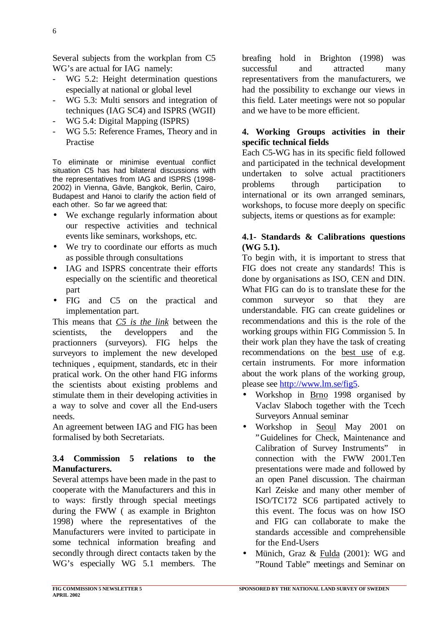Several subjects from the workplan from C5 WG's are actual for IAG namely:

- WG 5.2: Height determination questions especially at national or global level
- WG 5.3: Multi sensors and integration of techniques (IAG SC4) and ISPRS (WGII)
- WG 5.4: Digital Mapping (ISPRS)
- WG 5.5: Reference Frames, Theory and in Practise

To eliminate or minimise eventual conflict situation C5 has had bilateral discussions with the representatives from IAG and ISPRS (1998- 2002) in Vienna, Gävle, Bangkok, Berlin, Cairo, Budapest and Hanoi to clarify the action field of each other. So far we agreed that:

- We exchange regularly information about our respective activities and technical events like seminars, workshops, etc.
- We try to coordinate our efforts as much as possible through consultations
- IAG and ISPRS concentrate their efforts especially on the scientific and theoretical part
- FIG and C5 on the practical and implementation part.

This means that *C5 is the link* between the scientists, the developpers and the practionners (surveyors). FIG helps the surveyors to implement the new developed techniques , equipment, standards, etc in their pratical work. On the other hand FIG informs the scientists about existing problems and stimulate them in their developing activities in a way to solve and cover all the End-users needs.

An agreement between IAG and FIG has been formalised by both Secretariats.

#### **3.4 Commission 5 relations to the Manufacturers.**

Several attemps have been made in the past to cooperate with the Manufacturers and this in to ways: firstly through special meetings during the FWW ( as example in Brighton 1998) where the representatives of the Manufacturers were invited to participate in some technical information breafing and secondly through direct contacts taken by the WG's especially WG 5.1 members. The breafing hold in Brighton (1998) was successful and attracted many representativers from the manufacturers, we had the possibility to exchange our views in this field. Later meetings were not so popular and we have to be more efficient.

#### **4. Working Groups activities in their specific technical fields**

Each C5-WG has in its specific field followed and participated in the technical development undertaken to solve actual practitioners problems through participation to international or its own arranged seminars, workshops, to focuse more deeply on specific subjects, items or questions as for example:

#### **4.1- Standards & Calibrations questions (WG 5.1).**

To begin with, it is important to stress that FIG does not create any standards! This is done by organisations as ISO, CEN and DIN. What FIG can do is to translate these for the common surveyor so that they are understandable. FIG can create guidelines or recommendations and this is the role of the working groups within FIG Commission 5. In their work plan they have the task of creating recommendations on the best use of e.g. certain instruments. For more information about the work plans of the working group, please see http://www.lm.se/fig5.

- Workshop in Brno 1998 organised by Vaclav Slaboch together with the Tcech Surveyors Annual seminar
- Workshop in Seoul May 2001 on "Guidelines for Check, Maintenance and Calibration of Survey Instruments" in connection with the FWW 2001.Ten presentations were made and followed by an open Panel discussion. The chairman Karl Zeiske and many other member of ISO/TC172 SC6 partipated actively to this event. The focus was on how ISO and FIG can collaborate to make the standards accessible and comprehensible for the End-Users
- Münich, Graz & Fulda (2001): WG and "Round Table" meetings and Seminar on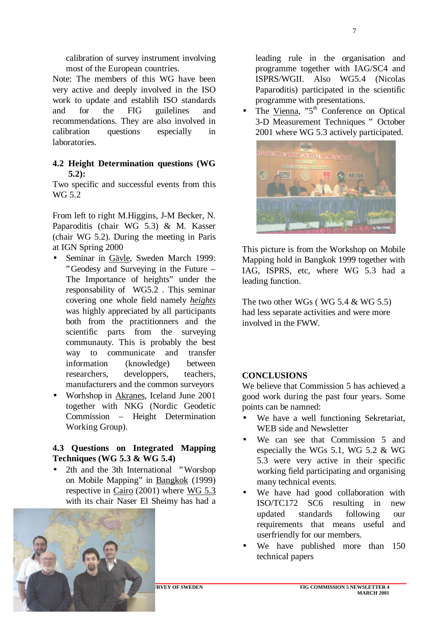calibration of survey instrument involving most of the European countries.

Note: The members of this WG have been very active and deeply involved in the ISO work to update and establih ISO standards and for the FIG guilelines and recommendations. They are also involved in calibration questions especially in laboratories.

#### **4.2 Height Determination questions (WG 5.2):**

Two specific and successful events from this WG 5.2

From left to right M.Higgins, J-M Becker, N. Paparoditis (chair WG 5.3) & M. Kasser (chair WG 5.2). During the meeting in Paris at IGN Spring 2000

- Seminar in Gävle, Sweden March 1999: "Geodesy and Surveying in the Future – The Importance of heights" under the responsability of WG5.2 . This seminar covering one whole field namely *heights* was highly appreciated by all participants both from the practitionners and the scientific parts from the surveying communauty. This is probably the best way to communicate and transfer information (knowledge) between researchers, developpers, teachers, manufacturers and the common surveyors
- Worhshop in Akranes, Iceland June 2001 together with NKG (Nordic Geodetic Commission – Height Determination Working Group).

#### **4.3 Questions on Integrated Mapping Techniques (WG 5.3 & WG 5.4)**

• 2th and the 3th International "Worshop" on Mobile Mapping" in Bangkok (1999) respective in Cairo (2001) where WG 5.3 with its chair Naser El Sheimy has had a



leading rule in the organisation and programme together with IAG/SC4 and ISPRS/WGII. Also WG5.4 (Nicolas Paparoditis) participated in the scientific programme with presentations.

• The Vienna, "5<sup>th</sup> Conference on Optical 3-D Measurement Techniques " October 2001 where WG 5.3 actively participated.



This picture is from the Workshop on Mobile Mapping hold in Bangkok 1999 together with IAG, ISPRS, etc, where WG 5.3 had a leading function.

The two other WGs ( WG  $5.4 \&$  WG  $5.5$ ) had less separate activities and were more involved in the FWW.

#### **CONCLUSIONS**

We believe that Commission 5 has achieved a good work during the past four years. Some points can be namned:

- We have a well functioning Sekretariat, WEB side and Newsletter
- We can see that Commission 5 and especially the WGs 5.1, WG 5.2 & WG 5.3 were very active in their specific working field participating and organising many technical events.
- We have had good collaboration with ISO/TC172 SC6 resulting in new updated standards following our requirements that means useful and userfriendly for our members.
- We have published more than 150 technical papers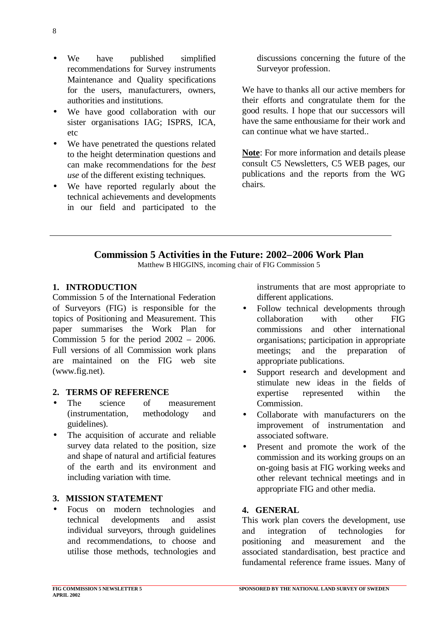- We have published simplified recommendations for Survey instruments Maintenance and Quality specifications for the users, manufacturers, owners, authorities and institutions.
- We have good collaboration with our sister organisations IAG; ISPRS, ICA, etc
- We have penetrated the questions related to the height determination questions and can make recommendations for the *best use* of the different existing techniques.
- We have reported regularly about the technical achievements and developments in our field and participated to the

discussions concerning the future of the Surveyor profession.

We have to thanks all our active members for their efforts and congratulate them for the good results. I hope that our successors will have the same enthousiame for their work and can continue what we have started..

**Note**: For more information and details please consult C5 Newsletters, C5 WEB pages, our publications and the reports from the WG chairs.

# **Commission 5 Activities in the Future: 2002–2006 Work Plan**

Matthew B HIGGINS, incoming chair of FIG Commission 5

#### **1. INTRODUCTION**

Commission 5 of the International Federation of Surveyors (FIG) is responsible for the topics of Positioning and Measurement. This paper summarises the Work Plan for Commission 5 for the period 2002 – 2006. Full versions of all Commission work plans are maintained on the FIG web site (www.fig.net).

#### **2. TERMS OF REFERENCE**

- The science of measurement (instrumentation, methodology and guidelines).
- The acquisition of accurate and reliable survey data related to the position, size and shape of natural and artificial features of the earth and its environment and including variation with time.

#### **3. MISSION STATEMENT**

• Focus on modern technologies and technical developments and assist individual surveyors, through guidelines and recommendations, to choose and utilise those methods, technologies and

instruments that are most appropriate to different applications.

- Follow technical developments through collaboration with other FIG commissions and other international organisations; participation in appropriate meetings; and the preparation of appropriate publications.
- Support research and development and stimulate new ideas in the fields of expertise represented within the Commission.
- Collaborate with manufacturers on the improvement of instrumentation and associated software.
- Present and promote the work of the commission and its working groups on an on-going basis at FIG working weeks and other relevant technical meetings and in appropriate FIG and other media.

#### **4. GENERAL**

This work plan covers the development, use and integration of technologies for positioning and measurement and the associated standardisation, best practice and fundamental reference frame issues. Many of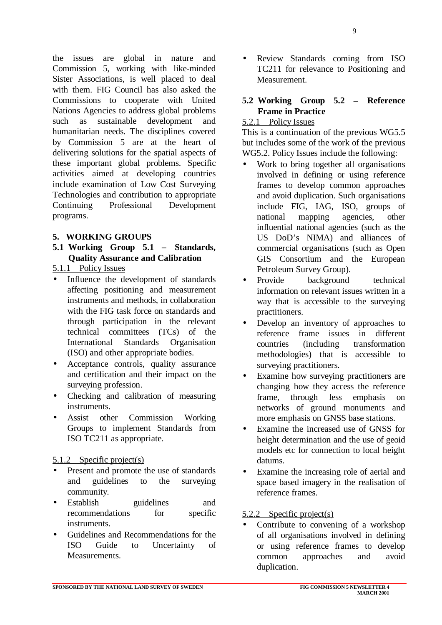the issues are global in nature and Commission 5, working with like-minded Sister Associations, is well placed to deal with them. FIG Council has also asked the Commissions to cooperate with United Nations Agencies to address global problems such as sustainable development and humanitarian needs. The disciplines covered by Commission 5 are at the heart of delivering solutions for the spatial aspects of these important global problems. Specific activities aimed at developing countries include examination of Low Cost Surveying Technologies and contribution to appropriate Continuing Professional Development programs.

#### **5. WORKING GROUPS**

- **5.1 Working Group 5.1 Standards, Quality Assurance and Calibration**
- 5.1.1 Policy Issues
- Influence the development of standards affecting positioning and measurement instruments and methods, in collaboration with the FIG task force on standards and through participation in the relevant technical committees (TCs) of the International Standards Organisation (ISO) and other appropriate bodies.
- Acceptance controls, quality assurance and certification and their impact on the surveying profession.
- Checking and calibration of measuring instruments.
- Assist other Commission Working Groups to implement Standards from ISO TC211 as appropriate.

#### 5.1.2 Specific project(s)

- Present and promote the use of standards and guidelines to the surveying community.
- Establish guidelines and recommendations for specific instruments.
- Guidelines and Recommendations for the ISO Guide to Uncertainty of Measurements.

Review Standards coming from ISO TC211 for relevance to Positioning and Measurement.

#### **5.2 Working Group 5.2 – Reference Frame in Practice**

#### 5.2.1 Policy Issues

This is a continuation of the previous WG5.5 but includes some of the work of the previous WG5.2. Policy Issues include the following:

- Work to bring together all organisations involved in defining or using reference frames to develop common approaches and avoid duplication. Such organisations include FIG, IAG, ISO, groups of national mapping agencies, other influential national agencies (such as the US DoD's NIMA) and alliances of commercial organisations (such as Open GIS Consortium and the European Petroleum Survey Group).
- Provide background technical information on relevant issues written in a way that is accessible to the surveying practitioners.
- Develop an inventory of approaches to reference frame issues in different countries (including transformation methodologies) that is accessible to surveying practitioners.
- Examine how surveying practitioners are changing how they access the reference frame, through less emphasis on networks of ground monuments and more emphasis on GNSS base stations.
- Examine the increased use of GNSS for height determination and the use of geoid models etc for connection to local height datums.
- Examine the increasing role of aerial and space based imagery in the realisation of reference frames.

#### 5.2.2 Specific project(s)

Contribute to convening of a workshop of all organisations involved in defining or using reference frames to develop common approaches and avoid duplication.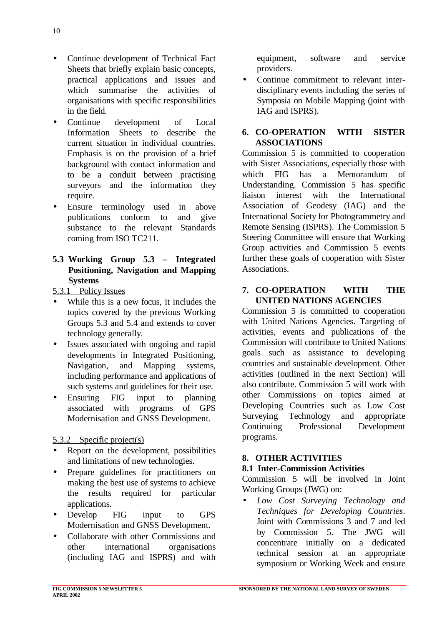- Continue development of Technical Fact Sheets that briefly explain basic concepts, practical applications and issues and which summarise the activities of organisations with specific responsibilities in the field.
- Continue development of Local Information Sheets to describe the current situation in individual countries. Emphasis is on the provision of a brief background with contact information and to be a conduit between practising surveyors and the information they require.
- Ensure terminology used in above publications conform to and give substance to the relevant Standards coming from ISO TC211.
- **5.3 Working Group 5.3 Integrated Positioning, Navigation and Mapping Systems**
- 5.3.1 Policy Issues
- While this is a new focus, it includes the topics covered by the previous Working Groups 5.3 and 5.4 and extends to cover technology generally.
- Issues associated with ongoing and rapid developments in Integrated Positioning, Navigation, and Mapping systems, including performance and applications of such systems and guidelines for their use.
- Ensuring FIG input to planning associated with programs of GPS Modernisation and GNSS Development.
- 5.3.2 Specific project(s)
- Report on the development, possibilities and limitations of new technologies.
- Prepare guidelines for practitioners on making the best use of systems to achieve the results required for particular applications.
- Develop FIG input to GPS Modernisation and GNSS Development.
- Collaborate with other Commissions and other international organisations (including IAG and ISPRS) and with

equipment, software and service providers.

• Continue commitment to relevant interdisciplinary events including the series of Symposia on Mobile Mapping (joint with IAG and ISPRS).

#### **6. CO-OPERATION WITH SISTER ASSOCIATIONS**

Commission 5 is committed to cooperation with Sister Associations, especially those with which FIG has a Memorandum of Understanding. Commission 5 has specific liaison interest with the International Association of Geodesy (IAG) and the International Society for Photogrammetry and Remote Sensing (ISPRS). The Commission 5 Steering Committee will ensure that Working Group activities and Commission 5 events further these goals of cooperation with Sister Associations.

#### **7. CO-OPERATION WITH THE UNITED NATIONS AGENCIES**

Commission 5 is committed to cooperation with United Nations Agencies. Targeting of activities, events and publications of the Commission will contribute to United Nations goals such as assistance to developing countries and sustainable development. Other activities (outlined in the next Section) will also contribute. Commission 5 will work with other Commissions on topics aimed at Developing Countries such as Low Cost Surveying Technology and appropriate Continuing Professional Development programs.

# **8. OTHER ACTIVITIES**

#### **8.1 Inter-Commission Activities**

Commission 5 will be involved in Joint Working Groups (JWG) on:

• *Low Cost Surveying Technology and Techniques for Developing Countries*. Joint with Commissions 3 and 7 and led by Commission 5. The JWG will concentrate initially on a dedicated technical session at an appropriate symposium or Working Week and ensure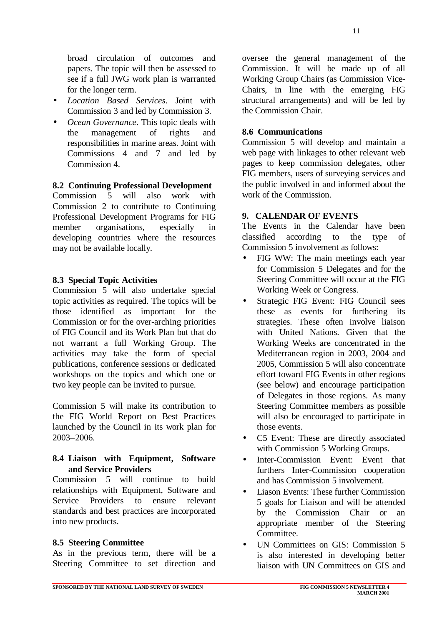11

broad circulation of outcomes and papers. The topic will then be assessed to see if a full JWG work plan is warranted for the longer term.

- *Location Based Services*. Joint with Commission 3 and led by Commission 3.
- *Ocean Governance*. This topic deals with the management of rights and responsibilities in marine areas. Joint with Commissions 4 and 7 and led by Commission 4.

#### **8.2 Continuing Professional Development**

Commission 5 will also work with Commission 2 to contribute to Continuing Professional Development Programs for FIG member organisations, especially in developing countries where the resources may not be available locally.

#### **8.3 Special Topic Activities**

Commission 5 will also undertake special topic activities as required. The topics will be those identified as important for the Commission or for the over-arching priorities of FIG Council and its Work Plan but that do not warrant a full Working Group. The activities may take the form of special publications, conference sessions or dedicated workshops on the topics and which one or two key people can be invited to pursue.

Commission 5 will make its contribution to the FIG World Report on Best Practices launched by the Council in its work plan for 2003–2006.

#### **8.4 Liaison with Equipment, Software and Service Providers**

Commission 5 will continue to build relationships with Equipment, Software and Service Providers to ensure relevant standards and best practices are incorporated into new products.

#### **8.5 Steering Committee**

As in the previous term, there will be a Steering Committee to set direction and oversee the general management of the Commission. It will be made up of all Working Group Chairs (as Commission Vice-Chairs, in line with the emerging FIG structural arrangements) and will be led by the Commission Chair.

#### **8.6 Communications**

Commission 5 will develop and maintain a web page with linkages to other relevant web pages to keep commission delegates, other FIG members, users of surveying services and the public involved in and informed about the work of the Commission.

#### **9. CALENDAR OF EVENTS**

The Events in the Calendar have been classified according to the type of Commission 5 involvement as follows:

- FIG WW: The main meetings each year for Commission 5 Delegates and for the Steering Committee will occur at the FIG Working Week or Congress.
- Strategic FIG Event: FIG Council sees these as events for furthering its strategies. These often involve liaison with United Nations. Given that the Working Weeks are concentrated in the Mediterranean region in 2003, 2004 and 2005, Commission 5 will also concentrate effort toward FIG Events in other regions (see below) and encourage participation of Delegates in those regions. As many Steering Committee members as possible will also be encouraged to participate in those events.
- C5 Event: These are directly associated with Commission 5 Working Groups.
- Inter-Commission Event: Event that furthers Inter-Commission cooperation and has Commission 5 involvement.
- Liason Events: These further Commission 5 goals for Liaison and will be attended by the Commission Chair or an appropriate member of the Steering Committee.
- UN Committees on GIS: Commission 5 is also interested in developing better liaison with UN Committees on GIS and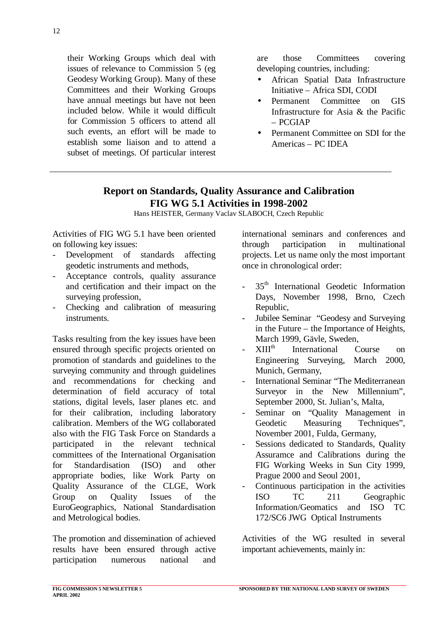their Working Groups which deal with issues of relevance to Commission 5 (eg Geodesy Working Group). Many of these Committees and their Working Groups have annual meetings but have not been included below. While it would difficult for Commission 5 officers to attend all such events, an effort will be made to establish some liaison and to attend a subset of meetings. Of particular interest are those Committees covering developing countries, including:

- African Spatial Data Infrastructure Initiative – Africa SDI, CODI
- Permanent Committee on GIS Infrastructure for Asia & the Pacific – PCGIAP
- Permanent Committee on SDI for the Americas – PC IDEA

# **Report on Standards, Quality Assurance and Calibration FIG WG 5.1 Activities in 1998-2002**

Hans HEISTER, Germany Vaclav SLABOCH, Czech Republic

Activities of FIG WG 5.1 have been oriented on following key issues:

- Development of standards affecting geodetic instruments and methods,
- Acceptance controls, quality assurance and certification and their impact on the surveying profession,
- Checking and calibration of measuring instruments.

Tasks resulting from the key issues have been ensured through specific projects oriented on promotion of standards and guidelines to the surveying community and through guidelines and recommendations for checking and determination of field accuracy of total stations, digital levels, laser planes etc. and for their calibration, including laboratory calibration. Members of the WG collaborated also with the FIG Task Force on Standards a participated in the relevant technical committees of the International Organisation for Standardisation (ISO) and other appropriate bodies, like Work Party on Quality Assurance of the CLGE, Work Group on Quality Issues of the EuroGeographics, National Standardisation and Metrological bodies.

The promotion and dissemination of achieved results have been ensured through active participation numerous national and

international seminars and conferences and through participation in multinational projects. Let us name only the most important once in chronological order:

- 35<sup>th</sup> International Geodetic Information Days, November 1998, Brno, Czech Republic,
- Jubilee Seminar "Geodesy and Surveying in the Future – the Importance of Heights, March 1999, Gävle, Sweden,
- XIIIth International Course on Engineering Surveying, March 2000, Munich, Germany,
- International Seminar "The Mediterranean Surveyor in the New Millennium", September 2000, St. Julian's, Malta,
- Seminar on "Quality Management in Geodetic Measuring Techniques". November 2001, Fulda, Germany,
- Sessions dedicated to Standards, Quality Assuramce and Calibrations during the FIG Working Weeks in Sun City 1999, Prague 2000 and Seoul 2001,
- Continuous participation in the activities ISO TC 211 Geographic Information/Geomatics and ISO TC 172/SC6 JWG Optical Instruments

Activities of the WG resulted in several important achievements, mainly in: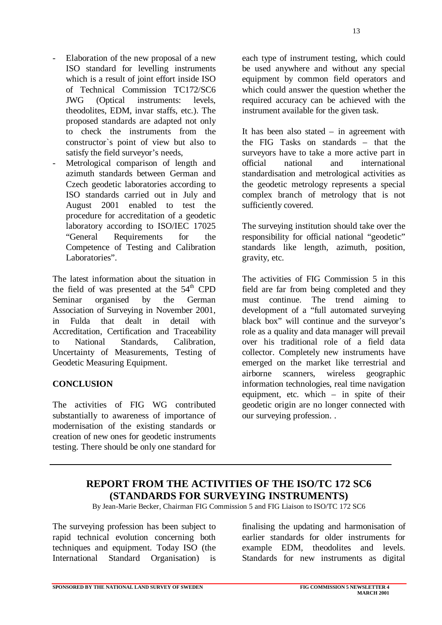- Elaboration of the new proposal of a new ISO standard for levelling instruments which is a result of joint effort inside ISO of Technical Commission TC172/SC6 JWG (Optical instruments: levels, theodolites, EDM, invar staffs, etc.). The proposed standards are adapted not only to check the instruments from the constructor`s point of view but also to satisfy the field surveyor's needs,
- Metrological comparison of length and azimuth standards between German and Czech geodetic laboratories according to ISO standards carried out in July and August 2001 enabled to test the procedure for accreditation of a geodetic laboratory according to ISO/IEC 17025 "General Requirements for the Competence of Testing and Calibration Laboratories".

The latest information about the situation in the field of was presented at the  $54<sup>th</sup>$  CPD Seminar organised by the German Association of Surveying in November 2001, in Fulda that dealt in detail with Accreditation, Certification and Traceability to National Standards, Calibration, Uncertainty of Measurements, Testing of Geodetic Measuring Equipment.

#### **CONCLUSION**

The activities of FIG WG contributed substantially to awareness of importance of modernisation of the existing standards or creation of new ones for geodetic instruments testing. There should be only one standard for

each type of instrument testing, which could be used anywhere and without any special equipment by common field operators and which could answer the question whether the required accuracy can be achieved with the instrument available for the given task.

It has been also stated – in agreement with the FIG Tasks on standards – that the surveyors have to take a more active part in official national and international standardisation and metrological activities as the geodetic metrology represents a special complex branch of metrology that is not sufficiently covered.

The surveying institution should take over the responsibility for official national "geodetic" standards like length, azimuth, position, gravity, etc.

The activities of FIG Commission 5 in this field are far from being completed and they must continue. The trend aiming to development of a "full automated surveying black box" will continue and the surveyor's role as a quality and data manager will prevail over his traditional role of a field data collector. Completely new instruments have emerged on the market like terrestrial and airborne scanners, wireless geographic information technologies, real time navigation equipment, etc. which – in spite of their geodetic origin are no longer connected with our surveying profession. .

### **REPORT FROM THE ACTIVITIES OF THE ISO/TC 172 SC6 (STANDARDS FOR SURVEYING INSTRUMENTS)**

By Jean-Marie Becker, Chairman FIG Commission 5 and FIG Liaison to ISO/TC 172 SC6

The surveying profession has been subject to rapid technical evolution concerning both techniques and equipment. Today ISO (the International Standard Organisation) is

finalising the updating and harmonisation of earlier standards for older instruments for example EDM, theodolites and levels. Standards for new instruments as digital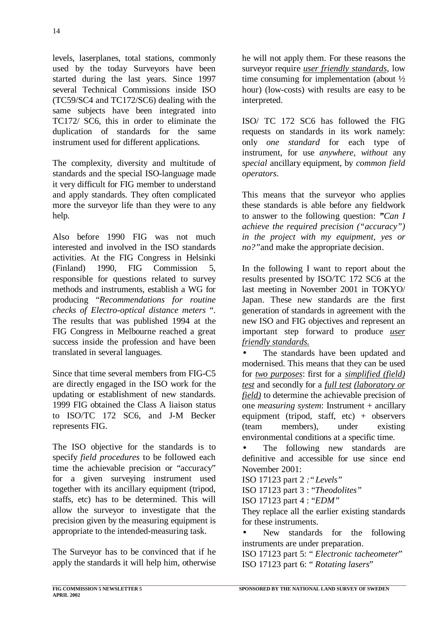levels, laserplanes, total stations, commonly used by the today Surveyors have been started during the last years. Since 1997 several Technical Commissions inside ISO (TC59/SC4 and TC172/SC6) dealing with the same subjects have been integrated into TC172/ SC6, this in order to eliminate the duplication of standards for the same instrument used for different applications.

The complexity, diversity and multitude of standards and the special ISO-language made it very difficult for FIG member to understand and apply standards. They often complicated more the surveyor life than they were to any help.

Also before 1990 FIG was not much interested and involved in the ISO standards activities. At the FIG Congress in Helsinki (Finland) 1990, FIG Commission 5, responsible for questions related to survey methods and instruments, establish a WG for producing "*Recommendations for routine checks of Electro-optical distance meters* ". The results that was published 1994 at the FIG Congress in Melbourne reached a great success inside the profession and have been translated in several languages.

Since that time several members from FIG-C5 are directly engaged in the ISO work for the updating or establishment of new standards. 1999 FIG obtained the Class A liaison status to ISO/TC 172 SC6, and J-M Becker represents FIG.

The ISO objective for the standards is to specify *field procedures* to be followed each time the achievable precision or "accuracy" for a given surveying instrument used together with its ancillary equipment (tripod, staffs, etc) has to be determined. This will allow the surveyor to investigate that the precision given by the measuring equipment is appropriate to the intended-measuring task.

The Surveyor has to be convinced that if he apply the standards it will help him, otherwise

he will not apply them. For these reasons the surveyor require *user friendly standards*, low time consuming for implementation (about ½ hour) (low-costs) with results are easy to be interpreted.

ISO/ TC 172 SC6 has followed the FIG requests on standards in its work namely: only *one standard* for each type of instrument, for use *anywhere, without* any *special* ancillary equipment, by *common field operators*.

This means that the surveyor who applies these standards is able before any fieldwork to answer to the following question: *"Can I achieve the required precision ("accuracy") in the project with my equipment, yes or no?"*and make the appropriate decision.

In the following I want to report about the results presented by ISO/TC 172 SC6 at the last meeting in November 2001 in TOKYO/ Japan. These new standards are the first generation of standards in agreement with the new ISO and FIG objectives and represent an important step forward to produce *user friendly standards.*

The standards have been updated and modernised. This means that they can be used for *two purposes*: first for a *simplified (field) test* and secondly for a *full test (laboratory or field)* to determine the achievable precision of one *measuring system*: Instrument + ancillary equipment (tripod, staff, etc) + observers (team members), under existing environmental conditions at a specific time.

• The following new standards are definitive and accessible for use since end November 2001:

ISO 17123 part 2 *:"Levels"*

ISO 17123 part 3 : "*Theodolites"*

ISO 17123 part 4 : "*EDM"*

They replace all the earlier existing standards for these instruments.

New standards for the following instruments are under preparation. ISO 17123 part 5: " *Electronic tacheometer*" ISO 17123 part 6: " *Rotating lasers*"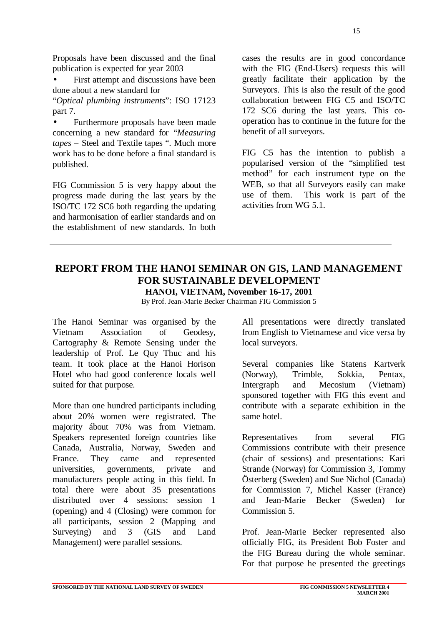First attempt and discussions have been done about a new standard for

"*Optical plumbing instruments*": ISO 17123 part 7.

• Furthermore proposals have been made concerning a new standard for "*Measuring tapes* – Steel and Textile tapes ". Much more work has to be done before a final standard is published.

FIG Commission 5 is very happy about the progress made during the last years by the ISO/TC 172 SC6 both regarding the updating and harmonisation of earlier standards and on the establishment of new standards. In both

cases the results are in good concordance with the FIG (End-Users) requests this will greatly facilitate their application by the Surveyors. This is also the result of the good collaboration between FIG C5 and ISO/TC 172 SC6 during the last years. This cooperation has to continue in the future for the benefit of all surveyors.

FIG C5 has the intention to publish a popularised version of the "simplified test method" for each instrument type on the WEB, so that all Surveyors easily can make use of them. This work is part of the activities from WG 5.1.

# **REPORT FROM THE HANOI SEMINAR ON GIS, LAND MANAGEMENT FOR SUSTAINABLE DEVELOPMENT**

**HANOI, VIETNAM, November 16-17, 2001**

By Prof. Jean-Marie Becker Chairman FIG Commission 5

The Hanoi Seminar was organised by the Vietnam Association of Geodesy, Cartography & Remote Sensing under the leadership of Prof. Le Quy Thuc and his team. It took place at the Hanoi Horison Hotel who had good conference locals well suited for that purpose.

More than one hundred participants including about 20% women were registrated. The majority ábout 70% was from Vietnam. Speakers represented foreign countries like Canada, Australia, Norway, Sweden and France. They came and represented universities, governments, private and manufacturers people acting in this field. In total there were about 35 presentations distributed over 4 sessions: session 1 (opening) and 4 (Closing) were common for all participants, session 2 (Mapping and Surveying) and 3 (GIS and Land Management) were parallel sessions.

All presentations were directly translated from English to Vietnamese and vice versa by local surveyors.

Several companies like Statens Kartverk (Norway), Trimble, Sokkia, Pentax, Intergraph and Mecosium (Vietnam) sponsored together with FIG this event and contribute with a separate exhibition in the same hotel.

Representatives from several FIG Commissions contribute with their presence (chair of sessions) and presentations: Kari Strande (Norway) for Commission 3, Tommy Österberg (Sweden) and Sue Nichol (Canada) for Commission 7, Michel Kasser (France) and Jean-Marie Becker (Sweden) for Commission 5.

Prof. Jean-Marie Becker represented also officially FIG, its President Bob Foster and the FIG Bureau during the whole seminar. For that purpose he presented the greetings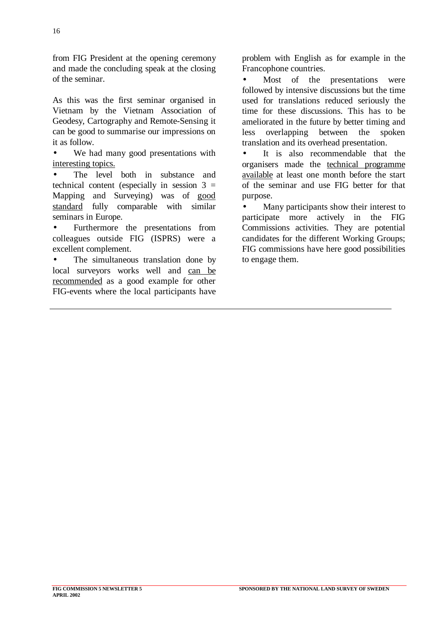from FIG President at the opening ceremony and made the concluding speak at the closing of the seminar.

As this was the first seminar organised in Vietnam by the Vietnam Association of Geodesy, Cartography and Remote-Sensing it can be good to summarise our impressions on it as follow.

We had many good presentations with interesting topics.

The level both in substance and technical content (especially in session  $3 =$ Mapping and Surveying) was of good standard fully comparable with similar seminars in Europe.

• Furthermore the presentations from colleagues outside FIG (ISPRS) were a excellent complement.

The simultaneous translation done by local surveyors works well and can be recommended as a good example for other FIG-events where the local participants have problem with English as for example in the Francophone countries.

Most of the presentations were followed by intensive discussions but the time used for translations reduced seriously the time for these discussions. This has to be ameliorated in the future by better timing and less overlapping between the spoken translation and its overhead presentation.

It is also recommendable that the organisers made the technical programme available at least one month before the start of the seminar and use FIG better for that purpose.

• Many participants show their interest to participate more actively in the FIG Commissions activities. They are potential candidates for the different Working Groups; FIG commissions have here good possibilities to engage them.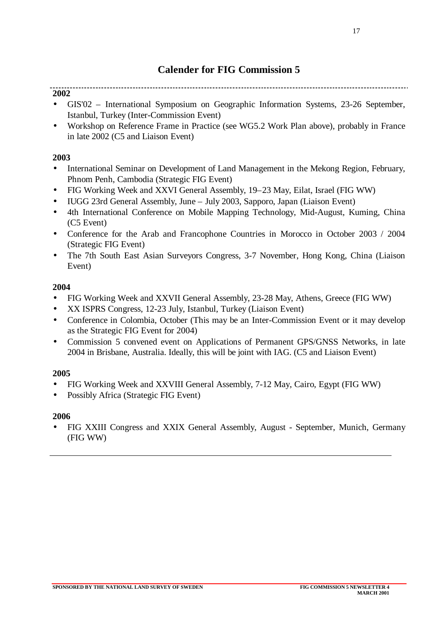# **Calender for FIG Commission 5**

**2002**

- GIS'02 International Symposium on Geographic Information Systems, 23-26 September, Istanbul, Turkey (Inter-Commission Event)
- Workshop on Reference Frame in Practice (see WG5.2 Work Plan above), probably in France in late 2002 (C5 and Liaison Event)

#### **2003**

- International Seminar on Development of Land Management in the Mekong Region, February, Phnom Penh, Cambodia (Strategic FIG Event)
- FIG Working Week and XXVI General Assembly, 19–23 May, Eilat, Israel (FIG WW)
- IUGG 23rd General Assembly, June July 2003, Sapporo, Japan (Liaison Event)
- 4th International Conference on Mobile Mapping Technology, Mid-August, Kuming, China (C5 Event)
- Conference for the Arab and Francophone Countries in Morocco in October 2003 / 2004 (Strategic FIG Event)
- The 7th South East Asian Surveyors Congress, 3-7 November, Hong Kong, China (Liaison Event)

#### **2004**

- FIG Working Week and XXVII General Assembly, 23-28 May, Athens, Greece (FIG WW)
- XX ISPRS Congress, 12-23 July, Istanbul, Turkey (Liaison Event)
- Conference in Colombia, October (This may be an Inter-Commission Event or it may develop as the Strategic FIG Event for 2004)
- Commission 5 convened event on Applications of Permanent GPS/GNSS Networks, in late 2004 in Brisbane, Australia. Ideally, this will be joint with IAG. (C5 and Liaison Event)

#### **2005**

- FIG Working Week and XXVIII General Assembly, 7-12 May, Cairo, Egypt (FIG WW)
- Possibly Africa (Strategic FIG Event)

#### **2006**

• FIG XXIII Congress and XXIX General Assembly, August - September, Munich, Germany (FIG WW)